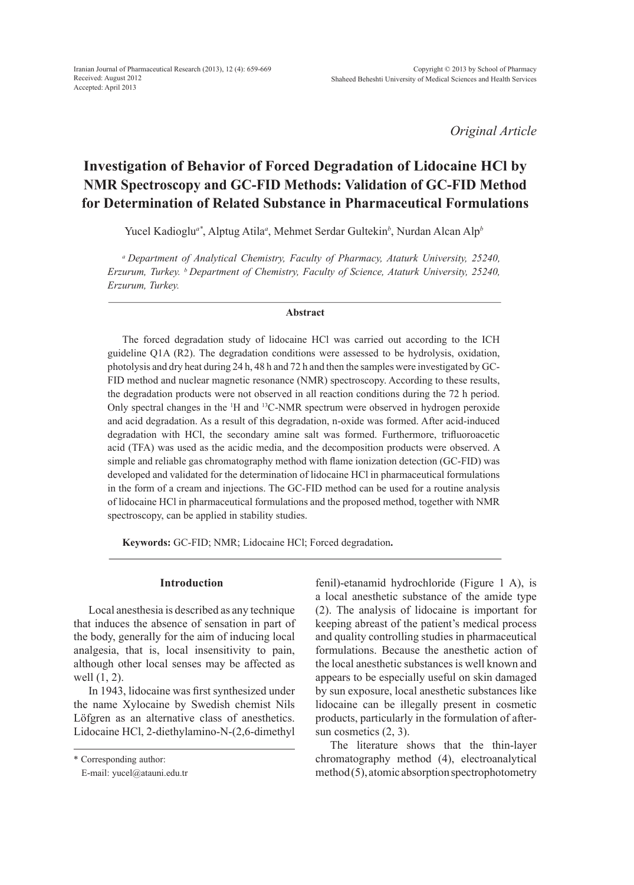*Original Article*

# **Investigation of Behavior of Forced Degradation of Lidocaine HCl by NMR Spectroscopy and GC-FID Methods: Validation of GC-FID Method for Determination of Related Substance in Pharmaceutical Formulations**

Yucel Kadioglu*a\**, Alptug Atila*<sup>a</sup>* , Mehmet Serdar Gultekin*<sup>b</sup>* , Nurdan Alcan Alp*<sup>b</sup>*

*a Department of Analytical Chemistry, Faculty of Pharmacy, Ataturk University, 25240, Erzurum, Turkey. b Department of Chemistry, Faculty of Science, Ataturk University, 25240, Erzurum, Turkey.*

# **Abstract**

The forced degradation study of lidocaine HCl was carried out according to the ICH guideline Q1A (R2). The degradation conditions were assessed to be hydrolysis, oxidation, photolysis and dry heat during 24 h, 48 h and 72 h and then the samples were investigated by GC-FID method and nuclear magnetic resonance (NMR) spectroscopy. According to these results, the degradation products were not observed in all reaction conditions during the 72 h period. Only spectral changes in the <sup>1</sup>H and <sup>13</sup>C-NMR spectrum were observed in hydrogen peroxide and acid degradation. As a result of this degradation, n-oxide was formed. After acid-induced degradation with HCl, the secondary amine salt was formed. Furthermore, trifluoroacetic acid (TFA) was used as the acidic media, and the decomposition products were observed. A simple and reliable gas chromatography method with flame ionization detection (GC-FID) was developed and validated for the determination of lidocaine HCl in pharmaceutical formulations in the form of a cream and injections. The GC-FID method can be used for a routine analysis of lidocaine HCl in pharmaceutical formulations and the proposed method, together with NMR spectroscopy, can be applied in stability studies.

**Keywords:** GC-FID; NMR; Lidocaine HCl; Forced degradation**.**

# **Introduction**

Local anesthesia is described as any technique that induces the absence of sensation in part of the body, generally for the aim of inducing local analgesia, that is, local insensitivity to pain, although other local senses may be affected as well (1, 2).

In 1943, lidocaine was first synthesized under the name Xylocaine by Swedish chemist Nils Löfgren as an alternative class of anesthetics. Lidocaine HCl, 2-diethylamino-N-(2,6-dimethyl fenil)-etanamid hydrochloride (Figure 1 A), is a local anesthetic substance of the amide type (2). The analysis of lidocaine is important for keeping abreast of the patient's medical process and quality controlling studies in pharmaceutical formulations. Because the anesthetic action of the local anesthetic substances is well known and appears to be especially useful on skin damaged by sun exposure, local anesthetic substances like lidocaine can be illegally present in cosmetic products, particularly in the formulation of aftersun cosmetics (2, 3).

The literature shows that the thin-layer chromatography method (4), electroanalytical method (5), atomic absorption spectrophotometry

<sup>\*</sup> Corresponding author:

E-mail: yucel@atauni.edu.tr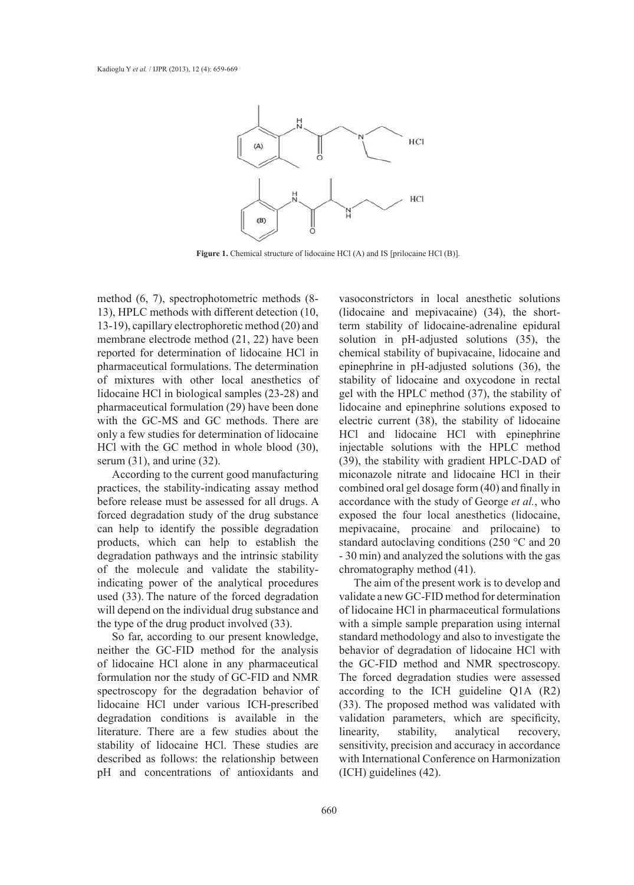

Figure 1. Chemical structure of lidocaine HCl (A) and IS [prilocaine HCl (B)].

method (6, 7), spectrophotometric methods (8- 13), HPLC methods with different detection (10, 13-19), capillary electrophoretic method (20) and membrane electrode method (21, 22) have been reported for determination of lidocaine HCl in pharmaceutical formulations. The determination of mixtures with other local anesthetics of lidocaine HCl in biological samples (23-28) and pharmaceutical formulation (29) have been done with the GC-MS and GC methods. There are only a few studies for determination of lidocaine HCl with the GC method in whole blood (30), serum (31), and urine (32).

According to the current good manufacturing practices, the stability-indicating assay method before release must be assessed for all drugs. A forced degradation study of the drug substance can help to identify the possible degradation products, which can help to establish the degradation pathways and the intrinsic stability of the molecule and validate the stabilityindicating power of the analytical procedures used (33). The nature of the forced degradation will depend on the individual drug substance and the type of the drug product involved (33).

So far, according to our present knowledge, neither the GC-FID method for the analysis of lidocaine HCl alone in any pharmaceutical formulation nor the study of GC-FID and NMR spectroscopy for the degradation behavior of lidocaine HCl under various ICH-prescribed degradation conditions is available in the literature. There are a few studies about the stability of lidocaine HCl. These studies are described as follows: the relationship between pH and concentrations of antioxidants and vasoconstrictors in local anesthetic solutions (lidocaine and mepivacaine) (34), the shortterm stability of lidocaine-adrenaline epidural solution in pH-adjusted solutions (35), the chemical stability of bupivacaine, lidocaine and epinephrine in pH-adjusted solutions (36), the stability of lidocaine and oxycodone in rectal gel with the HPLC method (37), the stability of lidocaine and epinephrine solutions exposed to electric current (38), the stability of lidocaine HCl and lidocaine HCl with epinephrine injectable solutions with the HPLC method (39), the stability with gradient HPLC-DAD of miconazole nitrate and lidocaine HCl in their combined oral gel dosage form (40) and finally in accordance with the study of George *et al.*, who exposed the four local anesthetics (lidocaine, mepivacaine, procaine and prilocaine) to standard autoclaving conditions (250 °C and 20 - 30 min) and analyzed the solutions with the gas chromatography method (41).

The aim of the present work is to develop and validate a new GC-FID method for determination of lidocaine HCl in pharmaceutical formulations with a simple sample preparation using internal standard methodology and also to investigate the behavior of degradation of lidocaine HCl with the GC-FID method and NMR spectroscopy. The forced degradation studies were assessed according to the ICH guideline Q1A (R2) (33). The proposed method was validated with validation parameters, which are specificity, linearity, stability, analytical recovery, sensitivity, precision and accuracy in accordance with International Conference on Harmonization (ICH) guidelines (42).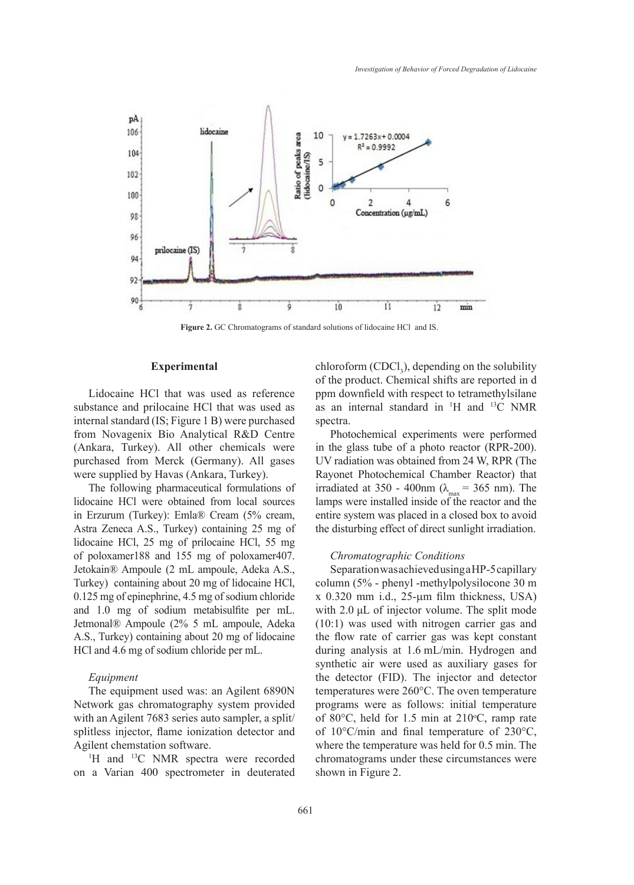

**Figure 2.** GC Chromatograms of standard solutions of lidocaine HCl and IS.

# **Experimental**

Lidocaine HCl that was used as reference substance and prilocaine HCl that was used as internal standard (IS; Figure 1 B) were purchased from Novagenix Bio Analytical R&D Centre (Ankara, Turkey). All other chemicals were purchased from Merck (Germany). All gases were supplied by Havas (Ankara, Turkey).

The following pharmaceutical formulations of lidocaine HCl were obtained from local sources in Erzurum (Turkey): Emla® Cream (5% cream, Astra Zeneca A.S., Turkey) containing 25 mg of lidocaine HCl, 25 mg of prilocaine HCl, 55 mg of poloxamer188 and 155 mg of poloxamer407. Jetokain® Ampoule (2 mL ampoule, Adeka A.S., Turkey) containing about 20 mg of lidocaine HCl, 0.125 mg of epinephrine, 4.5 mg of sodium chloride and 1.0 mg of sodium metabisulfite per mL. Jetmonal® Ampoule (2% 5 mL ampoule, Adeka A.S., Turkey) containing about 20 mg of lidocaine HCl and 4.6 mg of sodium chloride per mL.

#### *Equipment*

The equipment used was: an Agilent 6890N Network gas chromatography system provided with an Agilent 7683 series auto sampler, a split/ splitless injector, flame ionization detector and Agilent chemstation software.

<sup>1</sup>H and <sup>13</sup>C NMR spectra were recorded on a Varian 400 spectrometer in deuterated

 $\text{chloroform (CDCl}_3)$ , depending on the solubility of the product. Chemical shifts are reported in d ppm downfield with respect to tetramethylsilane as an internal standard in  $H$  and  $H^3C$  NMR spectra.

Photochemical experiments were performed in the glass tube of a photo reactor (RPR-200). UV radiation was obtained from 24 W, RPR (The Rayonet Photochemical Chamber Reactor) that irradiated at 350 - 400nm ( $\lambda_{\text{max}}$  = 365 nm). The lamps were installed inside of the reactor and the entire system was placed in a closed box to avoid the disturbing effect of direct sunlight irradiation.

## *Chromatographic Conditions*

Separation was achieved using a HP-5 capillary column (5% - phenyl -methylpolysilocone 30 m x 0.320 mm i.d., 25-µm film thickness, USA) with 2.0 μL of injector volume. The split mode (10:1) was used with nitrogen carrier gas and the flow rate of carrier gas was kept constant during analysis at 1.6 mL/min. Hydrogen and synthetic air were used as auxiliary gases for the detector (FID). The injector and detector temperatures were 260°C. The oven temperature programs were as follows: initial temperature of 80 $\degree$ C, held for 1.5 min at 210 $\degree$ C, ramp rate of 10°C/min and final temperature of 230°C, where the temperature was held for 0.5 min. The chromatograms under these circumstances were shown in Figure 2.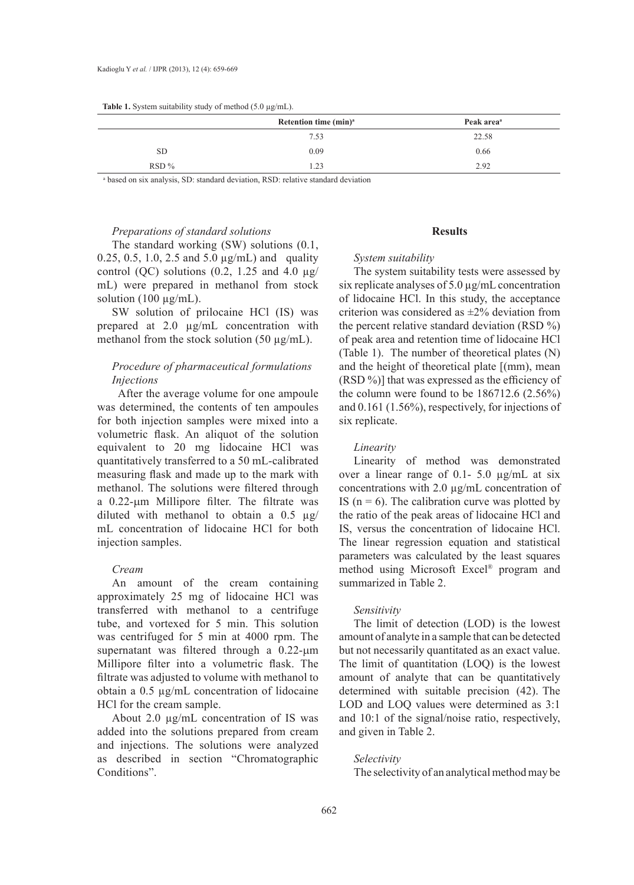| <b>Table 1.</b> System suitability study of method $(5.0 \mu g/mL)$ . |  |  |  |  |  |
|-----------------------------------------------------------------------|--|--|--|--|--|
|-----------------------------------------------------------------------|--|--|--|--|--|

|         | Retention time (min) <sup>a</sup> | Peak area <sup>a</sup> |
|---------|-----------------------------------|------------------------|
|         | 7.53                              | 22.58                  |
| SD.     | 0.09                              | 0.66                   |
| $RSD\%$ | 1.23                              | 2.92                   |

a based on six analysis, SD: standard deviation, RSD: relative standard deviation

#### *Preparations of standard solutions*

The standard working (SW) solutions (0.1, 0.25, 0.5, 1.0, 2.5 and 5.0 µg/mL) and quality control (QC) solutions (0.2, 1.25 and 4.0  $\mu$ g/ mL) were prepared in methanol from stock solution (100  $\mu$ g/mL).

SW solution of prilocaine HCl (IS) was prepared at 2.0 µg/mL concentration with methanol from the stock solution  $(50 \mu g/mL)$ .

# *Procedure of pharmaceutical formulations Injections*

 After the average volume for one ampoule was determined, the contents of ten ampoules for both injection samples were mixed into a volumetric flask. An aliquot of the solution equivalent to 20 mg lidocaine HCl was quantitatively transferred to a 50 mL-calibrated measuring flask and made up to the mark with methanol. The solutions were filtered through a 0.22-µm Millipore filter. The filtrate was diluted with methanol to obtain a  $0.5 \mu g$ / mL concentration of lidocaine HCl for both injection samples.

# *Cream*

An amount of the cream containing approximately 25 mg of lidocaine HCl was transferred with methanol to a centrifuge tube, and vortexed for 5 min. This solution was centrifuged for 5 min at 4000 rpm. The supernatant was filtered through a 0.22- $\mu$ m Millipore filter into a volumetric flask. The filtrate was adjusted to volume with methanol to obtain a 0.5 µg/mL concentration of lidocaine HCl for the cream sample.

About 2.0 µg/mL concentration of IS was added into the solutions prepared from cream and injections. The solutions were analyzed as described in section "Chromatographic Conditions".

# **Results**

#### *System suitability*

The system suitability tests were assessed by six replicate analyses of 5.0 µg/mL concentration of lidocaine HCl. In this study, the acceptance criterion was considered as ±2% deviation from the percent relative standard deviation (RSD %) of peak area and retention time of lidocaine HCl (Table 1). The number of theoretical plates (N) and the height of theoretical plate [(mm), mean (RSD %)] that was expressed as the efficiency of the column were found to be 186712.6 (2.56%) and 0.161 (1.56%), respectively, for injections of six replicate.

#### *Linearity*

Linearity of method was demonstrated over a linear range of 0.1- 5.0 µg/mL at six concentrations with 2.0 µg/mL concentration of IS ( $n = 6$ ). The calibration curve was plotted by the ratio of the peak areas of lidocaine HCl and IS, versus the concentration of lidocaine HCl. The linear regression equation and statistical parameters was calculated by the least squares method using Microsoft Excel® program and summarized in Table 2.

#### *Sensitivity*

The limit of detection (LOD) is the lowest amount of analyte in a sample that can be detected but not necessarily quantitated as an exact value. The limit of quantitation (LOQ) is the lowest amount of analyte that can be quantitatively determined with suitable precision (42). The LOD and LOQ values were determined as 3:1 and 10:1 of the signal/noise ratio, respectively, and given in Table 2.

# *Selectivity*

The selectivity of an analytical method may be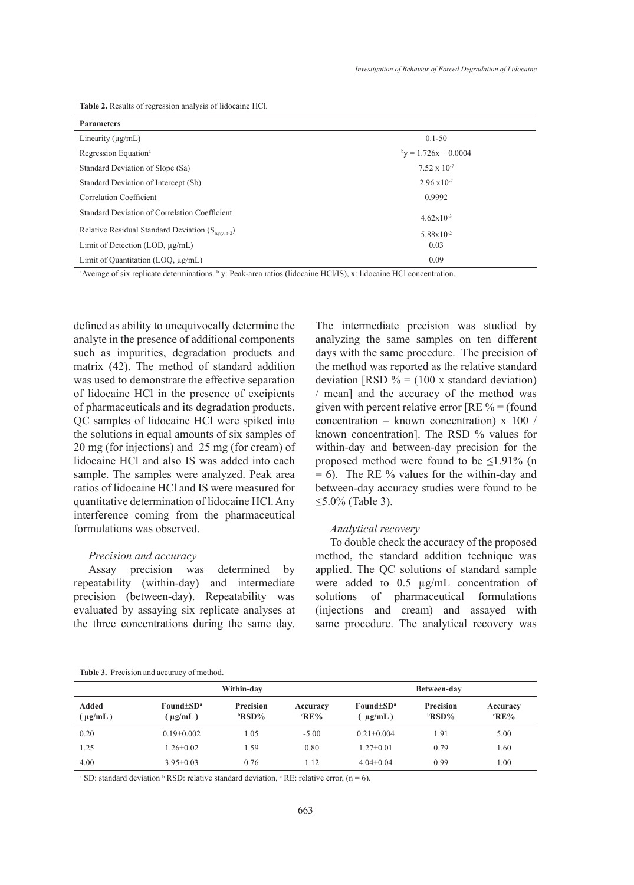**Table 2.** Results of regression analysis of lidocaine HCl*.*

| <b>Parameters</b>                                                                                                                                                                                                                                                               |                         |  |  |  |
|---------------------------------------------------------------------------------------------------------------------------------------------------------------------------------------------------------------------------------------------------------------------------------|-------------------------|--|--|--|
| Linearity $(\mu g/mL)$                                                                                                                                                                                                                                                          | $0.1 - 50$              |  |  |  |
| Regression Equation <sup>a</sup>                                                                                                                                                                                                                                                | $b_y = 1.726x + 0.0004$ |  |  |  |
| Standard Deviation of Slope (Sa)                                                                                                                                                                                                                                                | $7.52 \times 10^{-7}$   |  |  |  |
| Standard Deviation of Intercept (Sb)                                                                                                                                                                                                                                            | $2.96 \times 10^{-2}$   |  |  |  |
| Correlation Coefficient                                                                                                                                                                                                                                                         | 0.9992                  |  |  |  |
| Standard Deviation of Correlation Coefficient                                                                                                                                                                                                                                   | $4.62 \times 10^{-3}$   |  |  |  |
| Relative Residual Standard Deviation $(S_{\text{av/v.n-2}})$                                                                                                                                                                                                                    | $5.88 \times 10^{-2}$   |  |  |  |
| Limit of Detection (LOD, $\mu$ g/mL)                                                                                                                                                                                                                                            | 0.03                    |  |  |  |
| Limit of Quantitation (LOO, $\mu$ g/mL)                                                                                                                                                                                                                                         | 0.09                    |  |  |  |
| $\mathcal{A}$ is a set of the set of $\mathcal{A}$ is the set of $\mathcal{A}$ in the set of $\mathcal{A}$ is a set of $\mathcal{A}$ is a set of $\mathcal{A}$ is a set of $\mathcal{A}$ is a set of $\mathcal{A}$ is a set of $\mathcal{A}$ is a set of $\mathcal{A}$ is a set |                         |  |  |  |

<sup>a</sup>Average of six replicate determinations. <sup>b</sup> y: Peak-area ratios (lidocaine HCl/IS), x: lidocaine HCl concentration.

defined as ability to unequivocally determine the analyte in the presence of additional components such as impurities, degradation products and matrix (42). The method of standard addition was used to demonstrate the effective separation of lidocaine HCl in the presence of excipients of pharmaceuticals and its degradation products. QC samples of lidocaine HCl were spiked into the solutions in equal amounts of six samples of 20 mg (for injections) and 25 mg (for cream) of lidocaine HCl and also IS was added into each sample. The samples were analyzed. Peak area ratios of lidocaine HCl and IS were measured for quantitative determination of lidocaine HCl. Any interference coming from the pharmaceutical formulations was observed.

## *Precision and accuracy*

Assay precision was determined by repeatability (within-day) and intermediate precision (between-day). Repeatability was evaluated by assaying six replicate analyses at the three concentrations during the same day. The intermediate precision was studied by analyzing the same samples on ten different days with the same procedure. The precision of the method was reported as the relative standard deviation [RSD  $\% = (100 \text{ x standard deviation})$ ] / mean] and the accuracy of the method was given with percent relative error  $[RE \% = (found$ concentration − known concentration) x 100 / known concentration]. The RSD % values for within-day and between-day precision for the proposed method were found to be  $\leq$ 1.91% (n  $= 6$ ). The RE % values for the within-day and between-day accuracy studies were found to be  $≤5.0\%$  (Table 3).

# *Analytical recovery*

To double check the accuracy of the proposed method, the standard addition technique was applied. The QC solutions of standard sample were added to 0.5 µg/mL concentration of solutions of pharmaceutical formulations (injections and cream) and assayed with same procedure. The analytical recovery was

|                      | Within-day                      |                                  |                    | Between-day                     |                           |                    |
|----------------------|---------------------------------|----------------------------------|--------------------|---------------------------------|---------------------------|--------------------|
| Added<br>$\mu$ g/mL) | Found $\pm SD^a$<br>$\mu$ g/mL) | <b>Precision</b><br><b>BRSD%</b> | Accuracy<br>$R$ E% | Found $\pm SD^a$<br>$\mu$ g/mL) | Precision<br><b>bRSD%</b> | Accuracy<br>$R$ E% |
| 0.20                 | $0.19 + 0.002$                  | 1.05                             | $-5.00$            | $0.21 + 0.004$                  | . 91                      | 5.00               |
| 1.25                 | $1.26 \pm 0.02$                 | 1.59                             | 0.80               | $1.27+0.01$                     | 0.79                      | 1.60               |
| 4.00                 | $3.95 \pm 0.03$                 | 0.76                             | 1.12               | $4.04+0.04$                     | 0.99                      | 1.00               |

<sup>a</sup> SD: standard deviation <sup>b</sup> RSD: relative standard deviation, <sup>c</sup> RE: relative error,  $(n = 6)$ .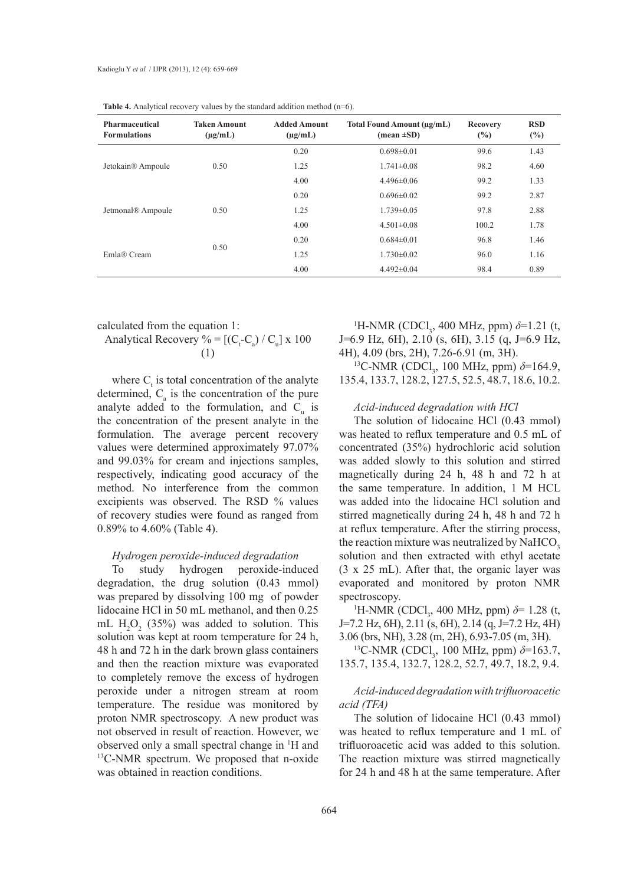| <b>Pharmaceutical</b><br><b>Formulations</b> | <b>Taken Amount</b><br>$(\mu g/mL)$ | <b>Added Amount</b><br>$(\mu g/mL)$ | Total Found Amount (µg/mL)<br>$(\text{mean} \pm S\text{D})$ | Recovery<br>(%) | <b>RSD</b><br>$(\%)$ |
|----------------------------------------------|-------------------------------------|-------------------------------------|-------------------------------------------------------------|-----------------|----------------------|
|                                              |                                     | 0.20                                | $0.698 \pm 0.01$                                            | 99.6            | 1.43                 |
| Jetokain <sup>®</sup> Ampoule                | 0.50                                | 1.25                                | $1.741 \pm 0.08$                                            | 98.2            | 4.60                 |
|                                              |                                     | 4.00                                | $4.496 \pm 0.06$                                            | 99.2            | 1.33                 |
| Jetmonal <sup>®</sup> Ampoule                |                                     | 0.20                                | $0.696 \pm 0.02$                                            | 99.2            | 2.87                 |
|                                              | 0.50                                | 1.25                                | $1.739 \pm 0.05$                                            | 97.8            | 2.88                 |
|                                              |                                     | 4.00                                | $4.501 \pm 0.08$                                            | 100.2           | 1.78                 |
| Emla® Cream                                  |                                     | 0.20                                | $0.684 \pm 0.01$                                            | 96.8            | 1.46                 |
|                                              | 0.50                                | 1.25                                | $1.730 \pm 0.02$                                            | 96.0            | 1.16                 |
|                                              |                                     | 4.00                                | $4.492 \pm 0.04$                                            | 98.4            | 0.89                 |

Table 4. Analytical recovery values by the standard addition method (n=6).

calculated from the equation 1:

Analytical Recovery % = 
$$
[(C_t - C_a) / C_u] \times 100
$$

$$
(1)
$$

where  $C<sub>t</sub>$  is total concentration of the analyte determined,  $C_a$  is the concentration of the pure analyte added to the formulation, and  $C_{u}$  is the concentration of the present analyte in the formulation. The average percent recovery values were determined approximately 97.07% and 99.03% for cream and injections samples, respectively, indicating good accuracy of the method. No interference from the common excipients was observed. The RSD % values of recovery studies were found as ranged from 0.89% to 4.60% (Table 4).

## *Hydrogen peroxide-induced degradation*

To study hydrogen peroxide-induced degradation, the drug solution (0.43 mmol) was prepared by dissolving 100 mg of powder lidocaine HCl in 50 mL methanol, and then 0.25 mL  $H_2O_2$  (35%) was added to solution. This solution was kept at room temperature for 24 h, 48 h and 72 h in the dark brown glass containers and then the reaction mixture was evaporated to completely remove the excess of hydrogen peroxide under a nitrogen stream at room temperature. The residue was monitored by proton NMR spectroscopy. A new product was not observed in result of reaction. However, we observed only a small spectral change in <sup>1</sup>H and  $^{13}$ C-NMR spectrum. We proposed that n-oxide was obtained in reaction conditions.

<sup>1</sup>H-NMR (CDCl<sub>3</sub>, 400 MHz, ppm)  $δ=1.21$  (t, J=6.9 Hz, 6H), 2.10 (s, 6H), 3.15 (q, J=6.9 Hz, 4H), 4.09 (brs, 2H), 7.26-6.91 (m, 3H).

<sup>13</sup>C-NMR (CDCl<sub>3</sub>, 100 MHz, ppm)  $\delta$ =164.9, 135.4, 133.7, 128.2, 127.5, 52.5, 48.7, 18.6, 10.2.

# *Acid-induced degradation with HCl*

The solution of lidocaine HCl (0.43 mmol) was heated to reflux temperature and 0.5 mL of concentrated (35%) hydrochloric acid solution was added slowly to this solution and stirred magnetically during 24 h, 48 h and 72 h at the same temperature. In addition, 1 M HCL was added into the lidocaine HCl solution and stirred magnetically during 24 h, 48 h and 72 h at reflux temperature. After the stirring process, the reaction mixture was neutralized by NaHCO<sub>3</sub>. solution and then extracted with ethyl acetate (3 x 25 mL). After that, the organic layer was evaporated and monitored by proton NMR spectroscopy.

H-NMR (CDCl<sub>3</sub>, 400 MHz, ppm)  $\delta$ = 1.28 (t, J=7.2 Hz, 6H), 2.11 (s, 6H), 2.14 (q, J=7.2 Hz, 4H) 3.06 (brs, NH), 3.28 (m, 2H), 6.93-7.05 (m, 3H).

<sup>13</sup>C-NMR (CDCl<sub>3</sub>, 100 MHz, ppm)  $\delta$ =163.7, 135.7, 135.4, 132.7, 128.2, 52.7, 49.7, 18.2, 9.4.

# *Acid-induced degradation with trifluoroacetic acid (TFA)*

The solution of lidocaine HCl (0.43 mmol) was heated to reflux temperature and 1 mL of trifluoroacetic acid was added to this solution. The reaction mixture was stirred magnetically for 24 h and 48 h at the same temperature. After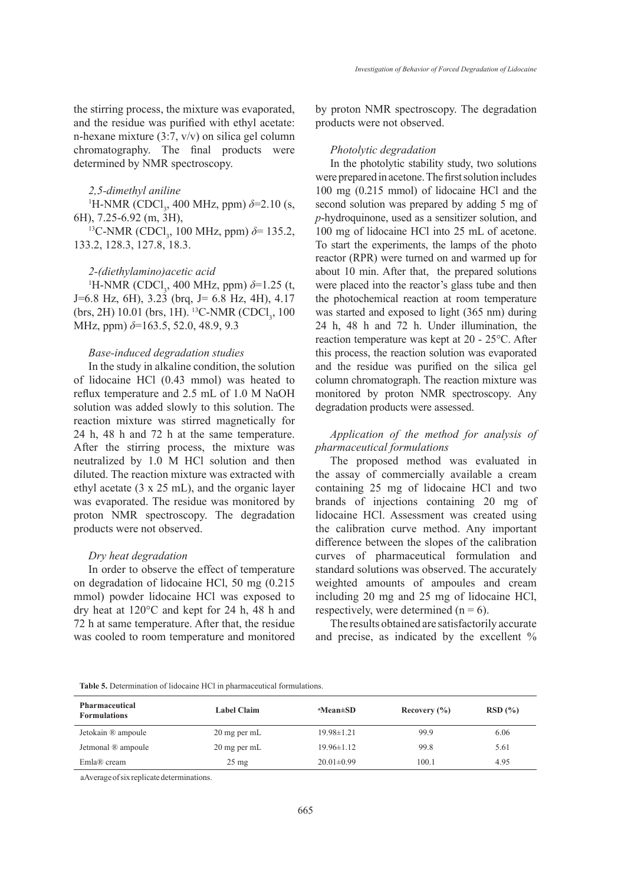the stirring process, the mixture was evaporated, and the residue was purified with ethyl acetate: n-hexane mixture (3:7, v/v) on silica gel column chromatography. The final products were determined by NMR spectroscopy.

#### *2,5-dimethyl aniline*

<sup>1</sup>H-NMR (CDCl<sub>3</sub>, 400 MHz, ppm)  $\delta$ =2.10 (s, 6H), 7.25-6.92 (m, 3H),

<sup>13</sup>C-NMR (CDCl<sub>3</sub>, 100 MHz, ppm)  $\delta$ = 135.2, 133.2, 128.3, 127.8, 18.3.

#### *2-(diethylamino)acetic acid*

<sup>1</sup>H-NMR (CDCl<sub>3</sub>, 400 MHz, ppm)  $\delta$ =1.25 (t, J=6.8 Hz, 6H), 3.23 (brq, J= 6.8 Hz, 4H), 4.17 (brs, 2H) 10.01 (brs, 1H). <sup>13</sup>C-NMR (CDCl<sub>3</sub>, 100 MHz, ppm) *δ*=163.5, 52.0, 48.9, 9.3

# *Base-induced degradation studies*

In the study in alkaline condition, the solution of lidocaine HCl (0.43 mmol) was heated to reflux temperature and 2.5 mL of 1.0 M NaOH solution was added slowly to this solution. The reaction mixture was stirred magnetically for 24 h, 48 h and 72 h at the same temperature. After the stirring process, the mixture was neutralized by 1.0 M HCl solution and then diluted. The reaction mixture was extracted with ethyl acetate (3 x 25 mL), and the organic layer was evaporated. The residue was monitored by proton NMR spectroscopy. The degradation products were not observed.

## *Dry heat degradation*

In order to observe the effect of temperature on degradation of lidocaine HCl, 50 mg (0.215 mmol) powder lidocaine HCl was exposed to dry heat at 120°C and kept for 24 h, 48 h and 72 h at same temperature. After that, the residue was cooled to room temperature and monitored by proton NMR spectroscopy. The degradation products were not observed.

#### *Photolytic degradation*

In the photolytic stability study, two solutions were prepared in acetone. The first solution includes 100 mg (0.215 mmol) of lidocaine HCl and the second solution was prepared by adding 5 mg of *p*-hydroquinone, used as a sensitizer solution, and 100 mg of lidocaine HCl into 25 mL of acetone. To start the experiments, the lamps of the photo reactor (RPR) were turned on and warmed up for about 10 min. After that, the prepared solutions were placed into the reactor's glass tube and then the photochemical reaction at room temperature was started and exposed to light (365 nm) during 24 h, 48 h and 72 h. Under illumination, the reaction temperature was kept at 20 - 25°C. After this process, the reaction solution was evaporated and the residue was purified on the silica gel column chromatograph. The reaction mixture was monitored by proton NMR spectroscopy. Any degradation products were assessed.

# *Application of the method for analysis of pharmaceutical formulations*

The proposed method was evaluated in the assay of commercially available a cream containing 25 mg of lidocaine HCl and two brands of injections containing 20 mg of lidocaine HCl. Assessment was created using the calibration curve method. Any important difference between the slopes of the calibration curves of pharmaceutical formulation and standard solutions was observed. The accurately weighted amounts of ampoules and cream including 20 mg and 25 mg of lidocaine HCl, respectively, were determined  $(n = 6)$ .

The results obtained are satisfactorily accurate and precise, as indicated by the excellent %

**Table 5.** Determination of lidocaine HCl in pharmaceutical formulations.

| <b>Pharmaceutical</b><br><b>Formulations</b> | <b>Label Claim</b> | <sup>a</sup> Mean±SD | Recovery $(\% )$ | RSD(%) |
|----------------------------------------------|--------------------|----------------------|------------------|--------|
| Jetokain ® ampoule                           | 20 mg per mL       | $19.98 \pm 1.21$     | 99.9             | 6.06   |
| Jetmonal ® ampoule                           | 20 mg per mL       | $19.96 \pm 1.12$     | 99.8             | 5.61   |
| Emla® cream                                  | $25 \text{ mg}$    | $20.01 \pm 0.99$     | 100.1            | 4.95   |

aAverage of six replicate determinations.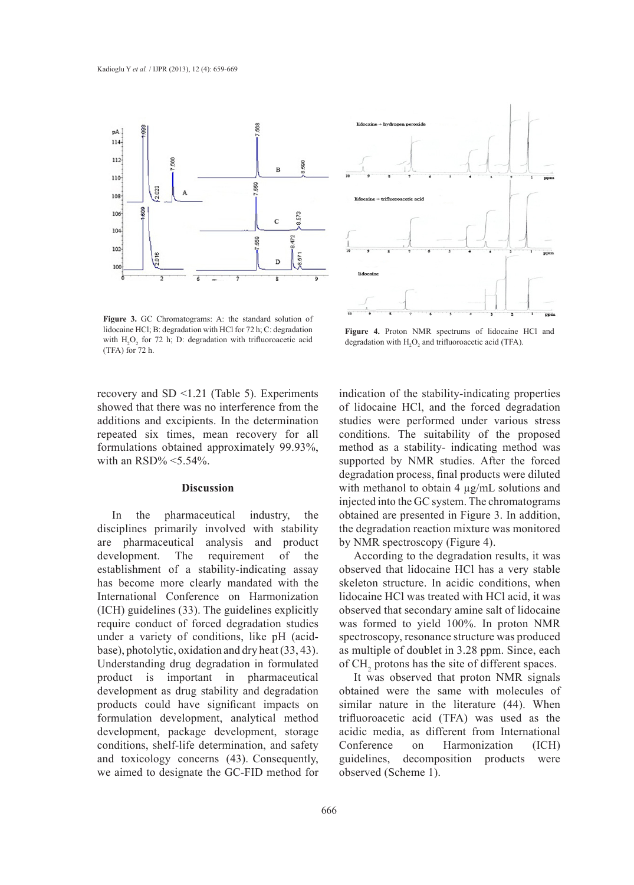

**Figure 3.** GC Chromatograms: A: the standard solution of lidocaine HCl; B: degradation with HCl for 72 h; C: degradation with  $H_2O_2$  for 72 h; D: degradation with trifluoroacetic acid (TFA) for 72 h.

recovery and SD <1.21 (Table 5). Experiments showed that there was no interference from the additions and excipients. In the determination repeated six times, mean recovery for all formulations obtained approximately 99.93%, with an  $\text{RSD}\%$  < 5.54%.

# **Discussion**

In the pharmaceutical industry, the disciplines primarily involved with stability are pharmaceutical analysis and product development. The requirement of the establishment of a stability-indicating assay has become more clearly mandated with the International Conference on Harmonization (ICH) guidelines (33). The guidelines explicitly require conduct of forced degradation studies under a variety of conditions, like pH (acidbase), photolytic, oxidation and dry heat (33, 43). Understanding drug degradation in formulated product is important in pharmaceutical development as drug stability and degradation products could have significant impacts on formulation development, analytical method development, package development, storage conditions, shelf-life determination, and safety and toxicology concerns (43). Consequently, we aimed to designate the GC-FID method for



**Figure 4.** Proton NMR spectrums of lidocaine HCl and degradation with  $H_2O_2$  and trifluoroacetic acid (TFA).

indication of the stability-indicating properties of lidocaine HCl, and the forced degradation studies were performed under various stress conditions. The suitability of the proposed method as a stability- indicating method was supported by NMR studies. After the forced degradation process, final products were diluted with methanol to obtain 4  $\mu$ g/mL solutions and injected into the GC system. The chromatograms obtained are presented in Figure 3. In addition, the degradation reaction mixture was monitored by NMR spectroscopy (Figure 4).

According to the degradation results, it was observed that lidocaine HCl has a very stable skeleton structure. In acidic conditions, when lidocaine HCl was treated with HCl acid, it was observed that secondary amine salt of lidocaine was formed to yield 100%. In proton NMR spectroscopy, resonance structure was produced as multiple of doublet in 3.28 ppm. Since, each of  $CH<sub>2</sub>$  protons has the site of different spaces.

It was observed that proton NMR signals obtained were the same with molecules of similar nature in the literature  $(44)$ . When trifluoroacetic acid (TFA) was used as the acidic media, as different from International Conference on Harmonization (ICH) guidelines, decomposition products were observed (Scheme 1).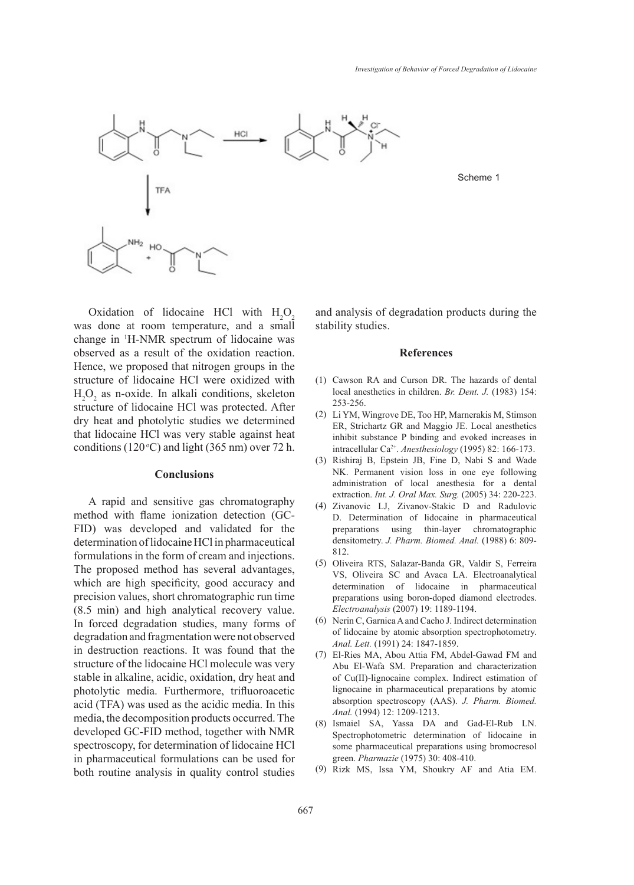Scheme 1



Oxidation of lidocaine HCl with  $H_2O_2$ was done at room temperature, and a small change in 1 H-NMR spectrum of lidocaine was observed as a result of the oxidation reaction. Hence, we proposed that nitrogen groups in the structure of lidocaine HCl were oxidized with  $H_2O_2$  as n-oxide. In alkali conditions, skeleton structure of lidocaine HCl was protected. After dry heat and photolytic studies we determined that lidocaine HCl was very stable against heat conditions (120 $\degree$ C) and light (365 nm) over 72 h.

### **Conclusions**

A rapid and sensitive gas chromatography method with flame ionization detection (GC-FID) was developed and validated for the determination of lidocaine HCl in pharmaceutical formulations in the form of cream and injections. The proposed method has several advantages, which are high specificity, good accuracy and precision values, short chromatographic run time (8.5 min) and high analytical recovery value. In forced degradation studies, many forms of degradation and fragmentation were not observed in destruction reactions. It was found that the structure of the lidocaine HCl molecule was very stable in alkaline, acidic, oxidation, dry heat and photolytic media. Furthermore, trifluoroacetic acid (TFA) was used as the acidic media. In this media, the decomposition products occurred. The developed GC-FID method, together with NMR spectroscopy, for determination of lidocaine HCl in pharmaceutical formulations can be used for both routine analysis in quality control studies and analysis of degradation products during the stability studies.

#### **References**

- Cawson RA and Curson DR. The hazards of dental (1) local anesthetics in children. *Br. Dent. J.* (1983) 154: 253-256.
- (2) Li YM, Wingrove DE, Too HP, Marnerakis M, Stimson ER, Strichartz GR and Maggio JE. Local anesthetics inhibit substance P binding and evoked increases in intracellular Ca2+. *Anesthesiology* (1995) 82: 166-173.
- (3) Rishiraj B, Epstein JB, Fine D, Nabi S and Wade NK. Permanent vision loss in one eye following administration of local anesthesia for a dental extraction. *Int. J. Oral Max. Surg.* (2005) 34: 220-223.
- Zivanovic LJ, Zivanov-Stakic D and Radulovic (4) D. Determination of lidocaine in pharmaceutical preparations using thin-layer chromatographic densitometry. *J. Pharm. Biomed. Anal.* (1988) 6: 809- 812.
- Oliveira RTS, Salazar-Banda GR, Valdir S, Ferreira (5) VS, Oliveira SC and Avaca LA. Electroanalytical determination of lidocaine in pharmaceutical preparations using boron-doped diamond electrodes. *Electroanalysis* (2007) 19: 1189-1194.
- (6) Nerin C, Garnica A and Cacho J. Indirect determination of lidocaine by atomic absorption spectrophotometry. *Anal. Lett.* (1991) 24: 1847-1859.
- El-Ries MA, Abou Attia FM, Abdel-Gawad FM and (7) Abu El-Wafa SM. Preparation and characterization of Cu(II)-lignocaine complex. Indirect estimation of lignocaine in pharmaceutical preparations by atomic absorption spectroscopy (AAS). *J. Pharm. Biomed. Anal.* (1994) 12: 1209-1213.
- (8) Ismaiel SA, Yassa DA and Gad-El-Rub LN. Spectrophotometric determination of lidocaine in some pharmaceutical preparations using bromocresol green. *Pharmazie* (1975) 30: 408-410.
- (9) Rizk MS, Issa YM, Shoukry AF and Atia EM.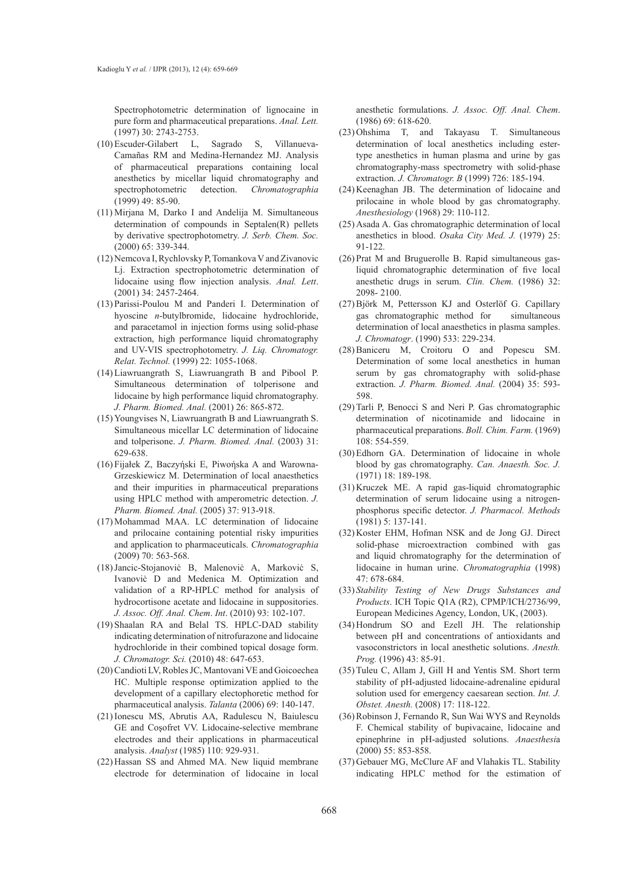Spectrophotometric determination of lignocaine in pure form and pharmaceutical preparations. *Anal. Lett.* (1997) 30: 2743-2753.

- Escuder-Gilabert L, Sagrado S, Villanueva-(10) Camañas RM and Medina-Hernandez MJ. Analysis of pharmaceutical preparations containing local anesthetics by micellar liquid chromatography and spectrophotometric detection. *Chromatographia* (1999) 49: 85-90.
- Mirjana M, Darko I and Andelija M. Simultaneous (11) determination of compounds in Septalen(R) pellets by derivative spectrophotometry. *J. Serb. Chem. Soc.* (2000) 65: 339-344.
- (12) Nemcova I, Rychlovsky P, Tomankova V and Zivanovic Lj. Extraction spectrophotometric determination of lidocaine using flow injection analysis. *Anal. Lett*. (2001) 34: 2457-2464.
- Parissi-Poulou M and Panderi I. Determination of (13) hyoscine *n*-butylbromide, lidocaine hydrochloride, and paracetamol in injection forms using solid-phase extraction, high performance liquid chromatography and UV-VIS spectrophotometry. *J. Liq. Chromatogr. Relat. Technol.* (1999) 22: 1055-1068.
- Liawruangrath S, Liawruangrath B and Pibool P. (14) Simultaneous determination of tolperisone and lidocaine by high performance liquid chromatography. *J. Pharm. Biomed. Anal.* (2001) 26: 865-872.
- $(15)$  Youngvises N, Liawruangrath B and Liawruangrath S. Simultaneous micellar LC determination of lidocaine and tolperisone. *J. Pharm. Biomed. Anal.* (2003) 31: 629-638.
- Fijałek Z, Baczyήski E, Piwoήska A and Warowna-(16) Grzeskiewicz M. Determination of local anaesthetics and their impurities in pharmaceutical preparations using HPLC method with amperometric detection. *J. Pharm. Biomed. Anal.* (2005) 37: 913-918.
- (17) Mohammad MAA. LC determination of lidocaine and prilocaine containing potential risky impurities and application to pharmaceuticals. *Chromatographia* (2009) 70: 563-568.
- Jancic-Stojanoviċ B, Malenoviċ A, Markoviċ S, (18) Ivanoviċ D and Medenica M. Optimization and validation of a RP-HPLC method for analysis of hydrocortisone acetate and lidocaine in suppositories. *J. Assoc. Off. Anal. Chem*. *Int*. (2010) 93: 102-107.
- (19) Shaalan RA and Belal TS. HPLC-DAD stability indicating determination of nitrofurazone and lidocaine hydrochloride in their combined topical dosage form. *J. Chromatogr. Sci.* (2010) 48: 647-653.
- (20) Candioti LV, Robles JC, Mantovani VE and Goicoechea HC. Multiple response optimization applied to the development of a capillary electophoretic method for pharmaceutical analysis. *Talanta* (2006) 69: 140-147.
- (21) Ionescu MS, Abrutis AA, Radulescu N, Baiulescu GE and Coşofret VV. Lidocaine-selective membrane electrodes and their applications in pharmaceutical analysis. *Analyst* (1985) 110: 929-931.
- (22) Hassan SS and Ahmed MA. New liquid membrane electrode for determination of lidocaine in local

anesthetic formulations. *J. Assoc. Off. Anal. Chem*. (1986) 69: 618-620.

- (23) Ohshima T, and Takayasu T. Simultaneous determination of local anesthetics including estertype anesthetics in human plasma and urine by gas chromatography-mass spectrometry with solid-phase extraction. *J. Chromatogr. B* (1999) 726: 185-194.
- $(24)$  Keenaghan JB. The determination of lidocaine and prilocaine in whole blood by gas chromatography. *Anesthesiology* (1968) 29: 110-112.
- (25) Asada A. Gas chromatographic determination of local anesthetics in blood. *Osaka City Med. J.* (1979) 25: 91-122.
- $(26)$  Prat M and Bruguerolle B. Rapid simultaneous gasliquid chromatographic determination of five local anesthetic drugs in serum. *Clin. Chem.* (1986) 32: 2098- 2100.
- Björk M, Pettersson KJ and Osterlöf G. Capillary (27) gas chromatographic method for simultaneous determination of local anaesthetics in plasma samples. *J. Chromatogr*. (1990) 533: 229-234.
- Baniceru M, Croitoru O and Popescu SM. (28) Determination of some local anesthetics in human serum by gas chromatography with solid-phase extraction. *J. Pharm. Biomed. Anal.* (2004) 35: 593- 598.
- (29) Tarli P, Benocci S and Neri P. Gas chromatographic determination of nicotinamide and lidocaine in pharmaceutical preparations. *Boll. Chim. Farm.* (1969) 108: 554-559.
- (30) Edhorn GA. Determination of lidocaine in whole blood by gas chromatography. *Can. Anaesth. Soc. J.* (1971) 18: 189-198.
- $(31)$  Kruczek ME. A rapid gas-liquid chromatographic determination of serum lidocaine using a nitrogenphosphorus specific detector. *J. Pharmacol. Methods* (1981) 5: 137-141.
- (32) Koster EHM, Hofman NSK and de Jong GJ. Direct solid-phase microextraction combined with gas and liquid chromatography for the determination of lidocaine in human urine. *Chromatographia* (1998) 47: 678-684.
- *Stability Testing of New Drugs Substances and*  (33) *Products*. ICH Topic Q1A (R2), CPMP/ICH/2736/99, European Medicines Agency, London, UK, (2003).
- (34) Hondrum SO and Ezell JH. The relationship between pH and concentrations of antioxidants and vasoconstrictors in local anesthetic solutions. *Anesth. Prog.* (1996) 43: 85-91.
- $(35)$  Tuleu C, Allam J, Gill H and Yentis SM. Short term stability of pH-adjusted lidocaine-adrenaline epidural solution used for emergency caesarean section. *Int. J. Obstet. Anesth.* (2008) 17: 118-122.
- (36) Robinson J, Fernando R, Sun Wai WYS and Reynolds F. Chemical stability of bupivacaine, lidocaine and epinephrine in pH-adjusted solutions. *Anaesthesi*a (2000) 55: 853-858.
- (37) Gebauer MG, McClure AF and Vlahakis TL. Stability indicating HPLC method for the estimation of